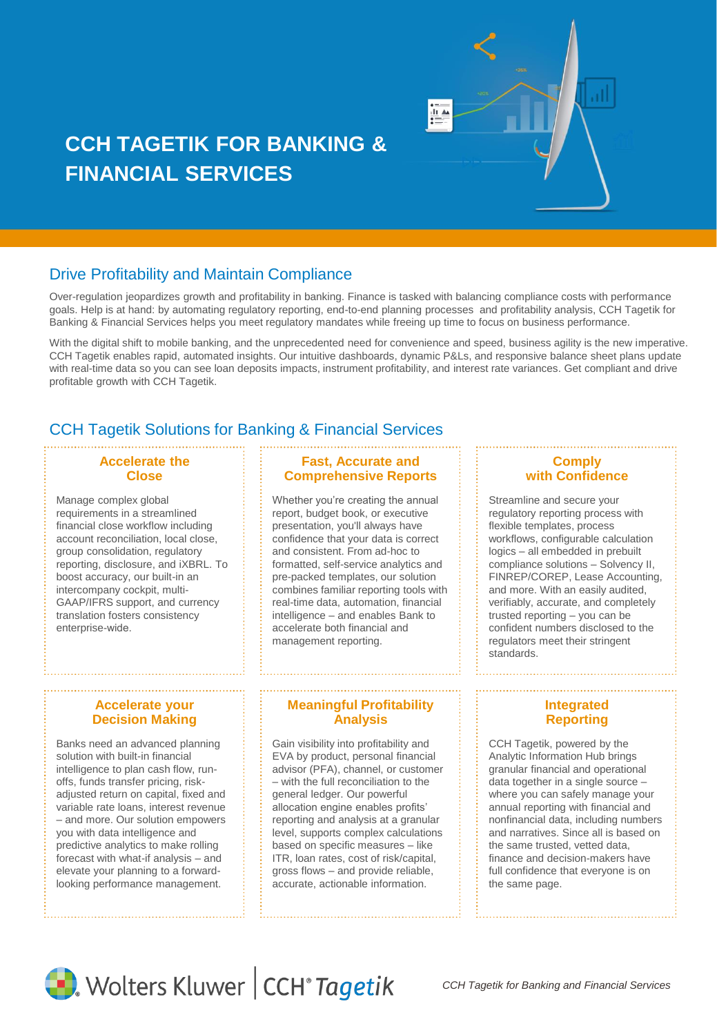

# **CCH TAGETIK FOR BANKING & FINANCIAL SERVICES**

# Drive Profitability and Maintain Compliance

Over-regulation jeopardizes growth and profitability in banking. Finance is tasked with balancing compliance costs with performance goals. Help is at hand: by automating regulatory reporting, end-to-end planning processes and profitability analysis, CCH Tagetik for Banking & Financial Services helps you meet regulatory mandates while freeing up time to focus on business performance.

With the digital shift to mobile banking, and the unprecedented need for convenience and speed, business agility is the new imperative. CCH Tagetik enables rapid, automated insights. Our intuitive dashboards, dynamic P&Ls, and responsive balance sheet plans update with real-time data so you can see loan deposits impacts, instrument profitability, and interest rate variances. Get compliant and drive profitable growth with CCH Tagetik.

# CCH Tagetik Solutions for Banking & Financial Services

## **Accelerate the Close**

Manage complex global requirements in a streamlined financial close workflow including account reconciliation, local close, group consolidation, regulatory reporting, disclosure, and iXBRL. To boost accuracy, our built-in an intercompany cockpit, multi-GAAP/IFRS support, and currency translation fosters consistency enterprise-wide.

#### **Accelerate your Decision Making**

Banks need an advanced planning solution with built-in financial intelligence to plan cash flow, runoffs, funds transfer pricing, riskadiusted return on capital, fixed and variable rate loans, interest revenue – and more. Our solution empowers you with data intelligence and predictive analytics to make rolling forecast with what-if analysis – and elevate your planning to a forwardlooking performance management.

## **Fast, Accurate and Comprehensive Reports**

Whether you're creating the annual report, budget book, or executive presentation, you'll always have confidence that your data is correct and consistent. From ad-hoc to formatted, self-service analytics and pre-packed templates, our solution combines familiar reporting tools with real-time data, automation, financial intelligence – and enables Bank to accelerate both financial and management reporting.

#### **Meaningful Profitability Analysis**

Gain visibility into profitability and EVA by product, personal financial advisor (PFA), channel, or customer – with the full reconciliation to the general ledger. Our powerful allocation engine enables profits' reporting and analysis at a granular level, supports complex calculations based on specific measures – like ITR, loan rates, cost of risk/capital, gross flows – and provide reliable, accurate, actionable information.

#### **Comply with Confidence**

Streamline and secure your regulatory reporting process with flexible templates, process workflows, configurable calculation logics – all embedded in prebuilt compliance solutions – Solvency II, FINREP/COREP, Lease Accounting, and more. With an easily audited, verifiably, accurate, and completely trusted reporting – you can be confident numbers disclosed to the regulators meet their stringent standards.

#### **Integrated Reporting**

CCH Tagetik, powered by the Analytic Information Hub brings granular financial and operational data together in a single source – where you can safely manage your annual reporting with financial and nonfinancial data, including numbers and narratives. Since all is based on the same trusted, vetted data, finance and decision-makers have full confidence that everyone is on the same page.



Wolters Kluwer | CCH<sup>®</sup> Tagetik